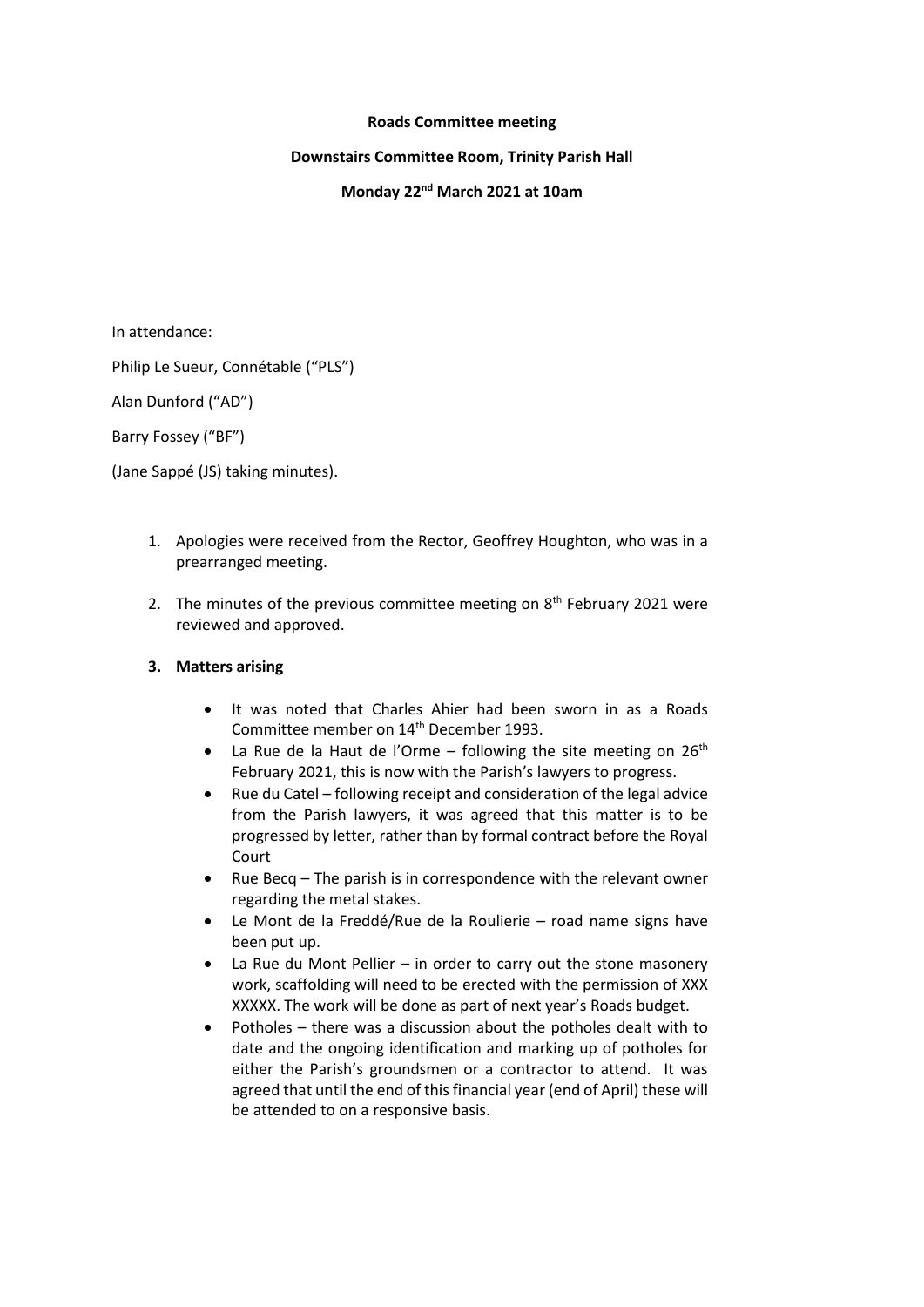#### **Roads Committee meeting**

# **Downstairs Committee Room, Trinity Parish Hall**

# **Monday 22nd March 2021 at 10am**

In attendance:

Philip Le Sueur, Connétable ("PLS")

Alan Dunford ("AD")

Barry Fossey ("BF")

(Jane Sappé (JS) taking minutes).

- 1. Apologies were received from the Rector, Geoffrey Houghton, who was in a prearranged meeting.
- 2. The minutes of the previous committee meeting on  $8<sup>th</sup>$  February 2021 were reviewed and approved.

# **3. Matters arising**

- It was noted that Charles Ahier had been sworn in as a Roads Committee member on 14<sup>th</sup> December 1993.
- La Rue de la Haut de l'Orme following the site meeting on  $26<sup>th</sup>$ February 2021, this is now with the Parish's lawyers to progress.
- Rue du Catel following receipt and consideration of the legal advice from the Parish lawyers, it was agreed that this matter is to be progressed by letter, rather than by formal contract before the Royal Court
- $\bullet$  Rue Becq The parish is in correspondence with the relevant owner regarding the metal stakes.
- Le Mont de la Freddé/Rue de la Roulierie road name signs have been put up.
- La Rue du Mont Pellier in order to carry out the stone masonery work, scaffolding will need to be erected with the permission of XXX XXXXX. The work will be done as part of next year's Roads budget.
- Potholes there was a discussion about the potholes dealt with to date and the ongoing identification and marking up of potholes for either the Parish's groundsmen or a contractor to attend. It was agreed that until the end of this financial year (end of April) these will be attended to on a responsive basis.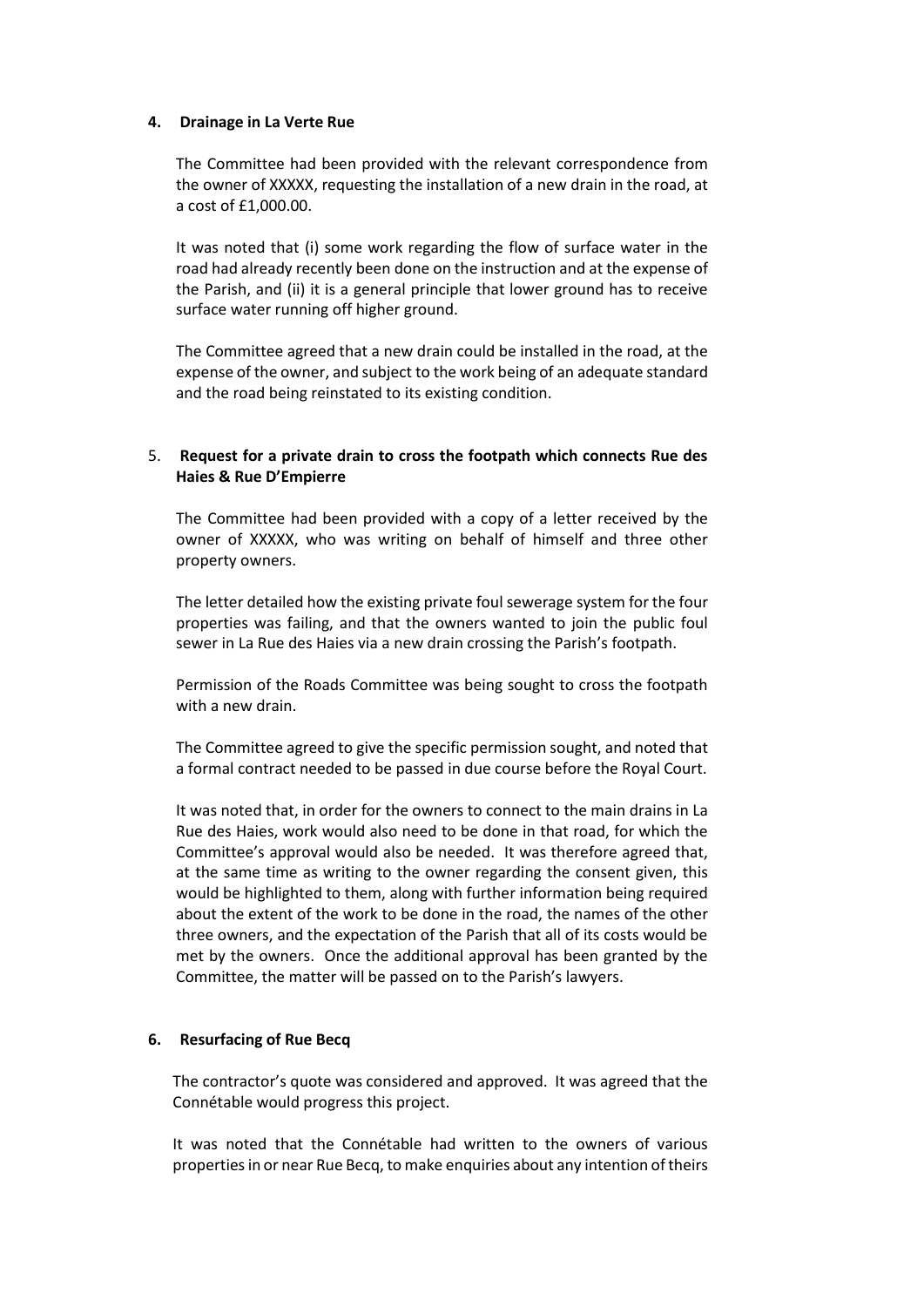### **4. Drainage in La Verte Rue**

The Committee had been provided with the relevant correspondence from the owner of XXXXX, requesting the installation of a new drain in the road, at a cost of £1,000.00.

It was noted that (i) some work regarding the flow of surface water in the road had already recently been done on the instruction and at the expense of the Parish, and (ii) it is a general principle that lower ground has to receive surface water running off higher ground.

The Committee agreed that a new drain could be installed in the road, at the expense of the owner, and subject to the work being of an adequate standard and the road being reinstated to its existing condition.

# 5. **Request for a private drain to cross the footpath which connects Rue des Haies & Rue D'Empierre**

The Committee had been provided with a copy of a letter received by the owner of XXXXX, who was writing on behalf of himself and three other property owners.

The letter detailed how the existing private foul sewerage system for the four properties was failing, and that the owners wanted to join the public foul sewer in La Rue des Haies via a new drain crossing the Parish's footpath.

Permission of the Roads Committee was being sought to cross the footpath with a new drain.

The Committee agreed to give the specific permission sought, and noted that a formal contract needed to be passed in due course before the Royal Court.

It was noted that, in order for the owners to connect to the main drains in La Rue des Haies, work would also need to be done in that road, for which the Committee's approval would also be needed. It was therefore agreed that, at the same time as writing to the owner regarding the consent given, this would be highlighted to them, along with further information being required about the extent of the work to be done in the road, the names of the other three owners, and the expectation of the Parish that all of its costs would be met by the owners. Once the additional approval has been granted by the Committee, the matter will be passed on to the Parish's lawyers.

#### **6. Resurfacing of Rue Becq**

The contractor's quote was considered and approved. It was agreed that the Connétable would progress this project.

It was noted that the Connétable had written to the owners of various properties in or near Rue Becq, to make enquiries about any intention of theirs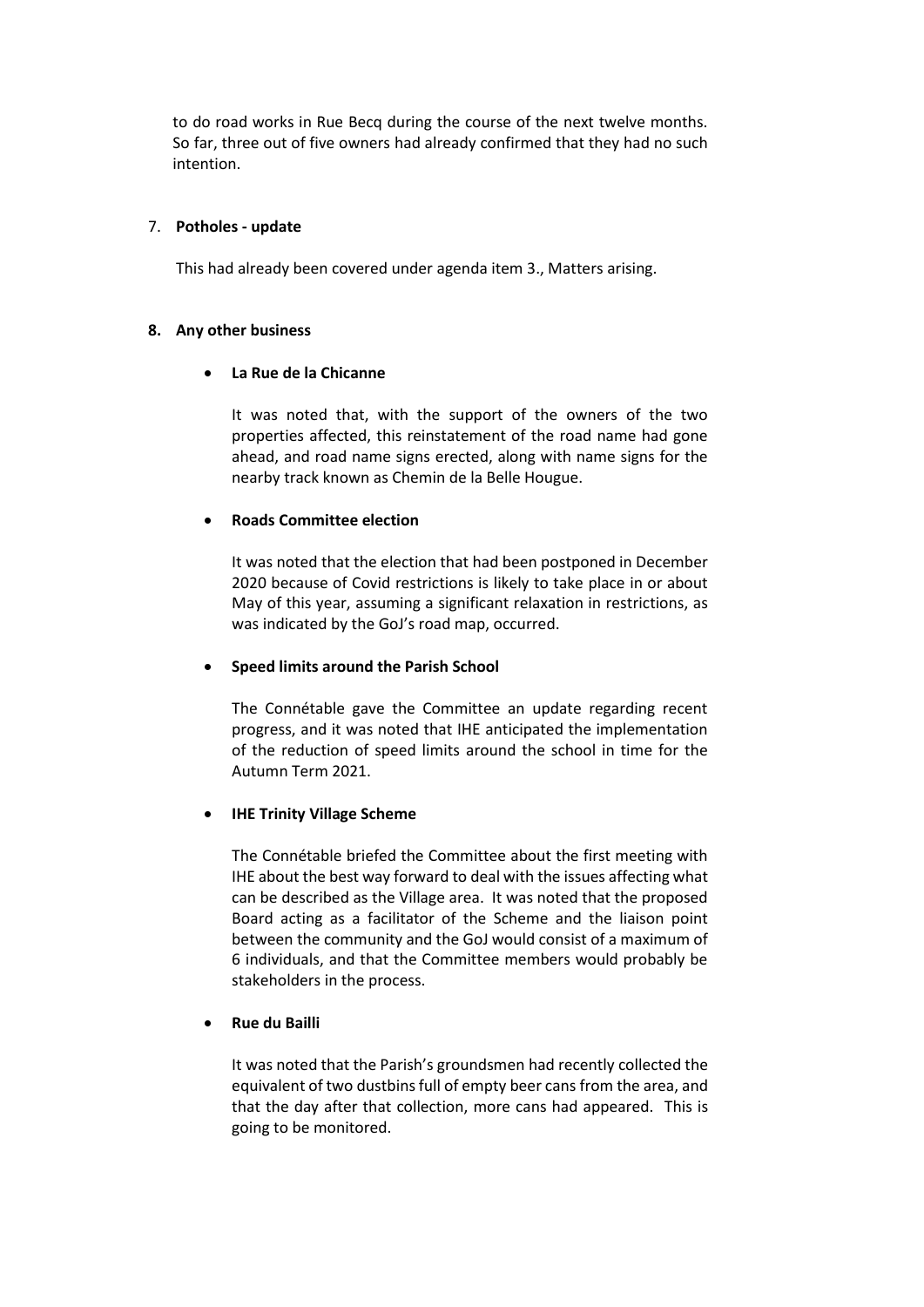to do road works in Rue Becq during the course of the next twelve months. So far, three out of five owners had already confirmed that they had no such intention.

### 7. **Potholes - update**

This had already been covered under agenda item 3., Matters arising.

#### **8. Any other business**

#### **La Rue de la Chicanne**

It was noted that, with the support of the owners of the two properties affected, this reinstatement of the road name had gone ahead, and road name signs erected, along with name signs for the nearby track known as Chemin de la Belle Hougue.

#### **Roads Committee election**

It was noted that the election that had been postponed in December 2020 because of Covid restrictions is likely to take place in or about May of this year, assuming a significant relaxation in restrictions, as was indicated by the GoJ's road map, occurred.

# **Speed limits around the Parish School**

The Connétable gave the Committee an update regarding recent progress, and it was noted that IHE anticipated the implementation of the reduction of speed limits around the school in time for the Autumn Term 2021.

# **IHE Trinity Village Scheme**

The Connétable briefed the Committee about the first meeting with IHE about the best way forward to deal with the issues affecting what can be described as the Village area. It was noted that the proposed Board acting as a facilitator of the Scheme and the liaison point between the community and the GoJ would consist of a maximum of 6 individuals, and that the Committee members would probably be stakeholders in the process.

# **Rue du Bailli**

It was noted that the Parish's groundsmen had recently collected the equivalent of two dustbins full of empty beer cans from the area, and that the day after that collection, more cans had appeared. This is going to be monitored.